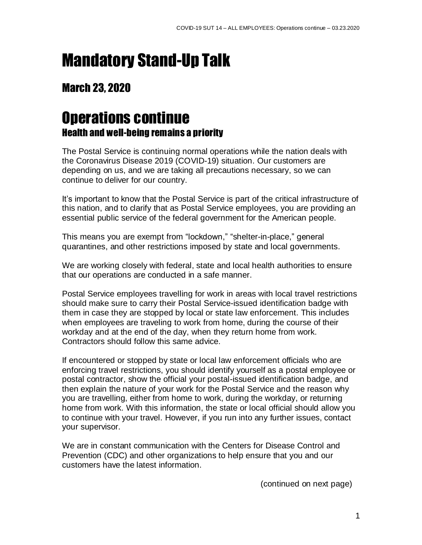## Mandatory Stand-Up Talk

## March 23, 2020

## Operations continue Health and well-being remains a priority

The Postal Service is continuing normal operations while the nation deals with the Coronavirus Disease 2019 (COVID-19) situation. Our customers are depending on us, and we are taking all precautions necessary, so we can continue to deliver for our country.

It's important to know that the Postal Service is part of the critical infrastructure of this nation, and to clarify that as Postal Service employees, you are providing an essential public service of the federal government for the American people.

This means you are exempt from "lockdown," "shelter-in-place," general quarantines, and other restrictions imposed by state and local governments.

We are working closely with federal, state and local health authorities to ensure that our operations are conducted in a safe manner.

Postal Service employees travelling for work in areas with local travel restrictions should make sure to carry their Postal Service-issued identification badge with them in case they are stopped by local or state law enforcement. This includes when employees are traveling to work from home, during the course of their workday and at the end of the day, when they return home from work. Contractors should follow this same advice.

If encountered or stopped by state or local law enforcement officials who are enforcing travel restrictions, you should identify yourself as a postal employee or postal contractor, show the official your postal-issued identification badge, and then explain the nature of your work for the Postal Service and the reason why you are travelling, either from home to work, during the workday, or returning home from work. With this information, the state or local official should allow you to continue with your travel. However, if you run into any further issues, contact your supervisor.

We are in constant communication with the Centers for Disease Control and Prevention (CDC) and other organizations to help ensure that you and our customers have the latest information.

(continued on next page)